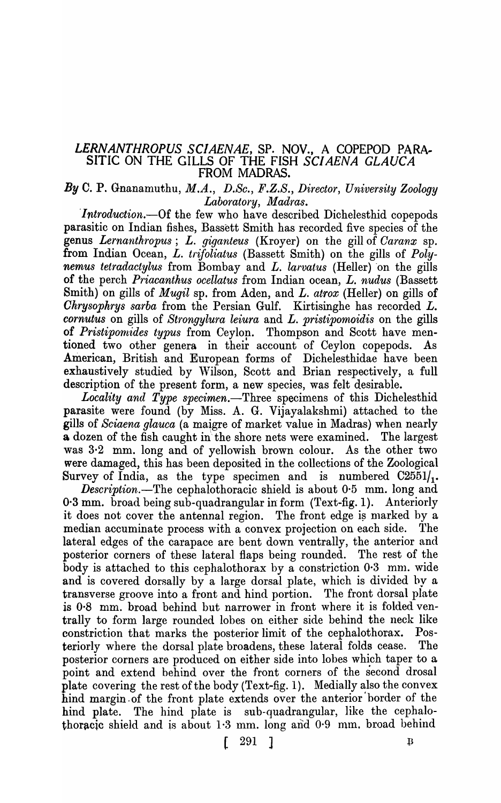## LERNANTHROPUS SCIAENAE, SP. NOV., A COPEPOD PARA-SITIC ON THE GILLS OF THE FISH *SCIAENA GLAUCA*  FROM MADRAS.

## *By* C. P. Gnanamuthu, *M.A., D.Se., F.Z.S., Director, University Zoology Laboratory, Madras.*

*"Introduction.-Of* the few who have described Dichelesthid copepods parasitic on Indian fishes, Bassett Smith has recorded five species of the genus *Lernanthropus; L. giganteus* (Kroyer) on the gill of *Caranx* sp. from Indian Ocean, *L. trifoliatus* (Bassett Smith) on the gills of *Polynemus tetradactylus* from Bombay and *L. larvatus* (Heller) on the gills of the perch *Priacanthus ocellatus* from Indian ocean, *L. nudus* (Bassett Smith) on gills of *Mugil* sp. from Aden, and *L. atrox* (Heller) on gills of *Ohrysophrys sarba* from the Persian Gulf. Kirtisinghe has recorded *L. cornutus* on gills of *Strongylura leiura* and *L. pristipomoidis* on the gills of *Pristipornides typus* from Ceylon. Thompson and Scott have mentioned two other genera in their account of Ceylon copepods. As American, British and European forms of Dichelesthidae have been exhaustively studied by Wilson, Scott and Brian respectively, a full description of the present form, a new species, was felt desirable.

*Locality and Type specimen.-Three* specimens of this Dichelesthid parasite were found (by Miss. A. G. Vijayalakshmi) attached to the gills of *Sciaena glauca* (a maigre of market value in Madras) when nearly **a** dozen of the fish caught in the shore nets were examined. The largest was 3·2 mm. long and of yellowish brown colour. As the other two were damaged, this has been deposited in the collections of the Zoological Survey of India, as the type specimen and is numbered  $C2551/1$ .

*Description.-The* cephalothoracic shield is about 0·5 mm. long and 0·3 mm. broad being sub-quadrangular in form (Text-fig. 1). Anteriorly it does not cover the antennal region. The front edge is marked by a median accuminate process with a convex projection on each side. The lateral edges of the carapace are bent down ventrally, the anterior and posterior corners of these lateral flaps being rounded. The rest of the body is attached to this cephalothorax by a constriction  $0.3$  mm. wide and is covered dorsally by a large dorsal plate, which is divided by a transverse groove into a front and hind portion. The front dorsal plate is 0·8 mm. broad behind but narrower in front where it is folded ventrally to form large rounded lobes on either side behind the neck like constriction that marks the posterior limit of the cephalothorax. Posteriorly where the dorsal plate broadens, these lateral folds cease. The posterior corners are produced on either side into lobes which taper to a point and extend behind over the front corners of the second drosal plate covering the rest of the body (Text-fig. 1). Medially also the convex hind margin .of the front plate extends over the anterior 'border of the hind plate. The hind plate is sub-quadrangular, like the cephalothoracic shield and is about  $1·3$  mm. long and  $0·9$  mm. broad behind

 $[291]$  B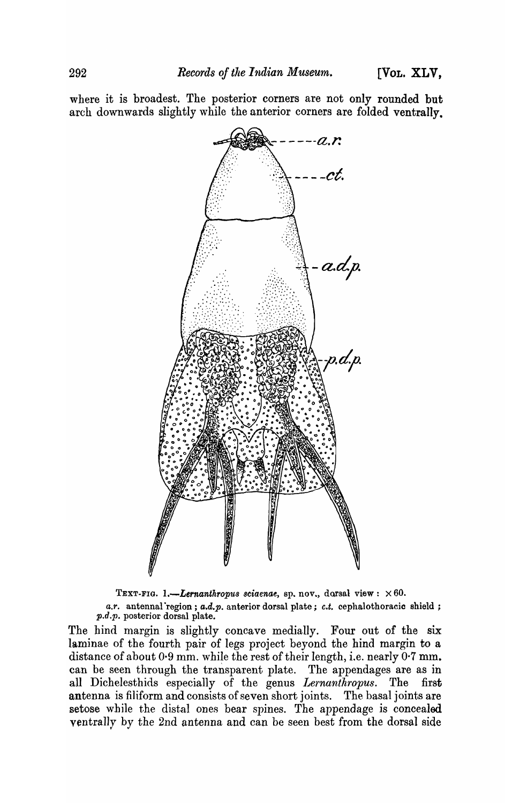where it is broadest. The posterior corners are not only rounded but arch downwards slightly while the anterior corners are folded ventrally\_



TEXT-FIG. 1.-Lernanthropus sciaenae, sp. nov., dorsal view:  $\times 60$ . *a.r.* antennal'region; *a.d.p.* anterior dorsal plate; *c.t.* cephalothoracic shield;  $p.d.p.$  posterior dorsal plate.

The hind margin is slightly concave medially. Four out of the six laminae of the fourth pair of legs project beyond the hind margin to a distance of about  $0.9$  mm. while the rest of their length, i.e. nearly  $0.7$  mm. can be seen through the transparent plate. The appendages are as in all Dichelesthids especially of the genus *Lernanthropus*. The first antenna is filiform and consists of seven short joints. The basal joints are setose wbile the distal ones bear spines. The appendage *is* concealed ventrally by the 2nd antenna and can be seen best from the dorsal side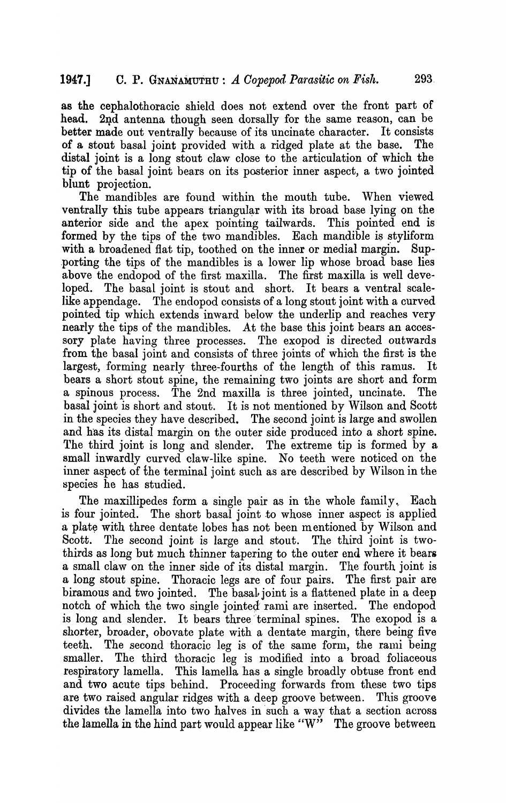as the cephalothoracic shield does not extend over the front part of head. 2nd antenna though seen dorsally for the same reason, can be better made out ventrally because of its uncinate character. It consists of a stout basal joint provided with a ridged plate at the base. The distal joint is a long stout claw close to the articulation of which the tip of the basal joint bears on its posterior inner aspect, a two jointed blunt projection.

The mandibles are found within the mouth tube. When viewed ventrally this tube appears triangular with its broad base lying on the anterior side and the apex pointing tailwards. This pointed end is formed by the tips of the two mandibles. Each mandible is styliform with a broadened fiat tip, toothed on the inner or medial margin. Sup- .porting the tips of the mandibles is a lower lip whose broad base lies above the endopod of the first maxilla. The first maxilla is well developed. The basal joint is stout and short. It bears a ventral scalelike appendage. The endopod consists of a long stout joint with a curved pointed tip which extends inward below the underlip and reaches very nearly the tips of the mandibles. At the base this joint bears an accessory plate having three processes. The exopod is directed outwards from the basal joint and consists of three joints of which the first is the largest, forming nearly three-fourths of the length of this ramus. It bears a short stout spine, the remaining two joints are short and form a spinous process. The 2nd maxilla is three jointed, uncinate. The basal joint is short and stout. It is not mentioned by Wilson and Scott in the species they have described. The second joint is large and swollen and has its distal margin on the outer side produced into a short spine. The third joint is long and slender. The extreme tip is formed by a small inwardly curved claw-like spine. No teeth were noticed on the inner aspect of the terminal joint such as are described by Wilson in the species he has studied.

The maxillipedes form a single pair as in the whole family. Each is four jointed. The short basal joint to whose inner aspect is applied a plate with three dentate lobes has not been mentioned by Wilson and Scott. The second joint is large and stout. The third joint is twothirds as long but much thinner tapering to the outer end where it bears a small claw on the inner side of its distal margin. The fourth joint is a long stout spine. Thoracic legs are of four pairs. The first pair are biramous and two jointed. The basal, joint is a flattened plate in a deep notch of which the two single jointed rami are inserted. The endopod is long and slender. It bears three terminal spines. The exopod is a shorter, broader, obovate plate with a dentate margin, there being five teeth. The second thoracic leg is of the same form, the rami being smaller. The third thoracic leg is modified into a broad foliaceous respiratory lamella. This lamella has a single broadly obtuse front end and two acute tips behind. Proceeding forwards from these two tips are two raised angular ridges with a deep groove between. This groove divides the lamella into two halves in 'such a way that a section across the lamella in the hind part would appear like " $W$ " The groove between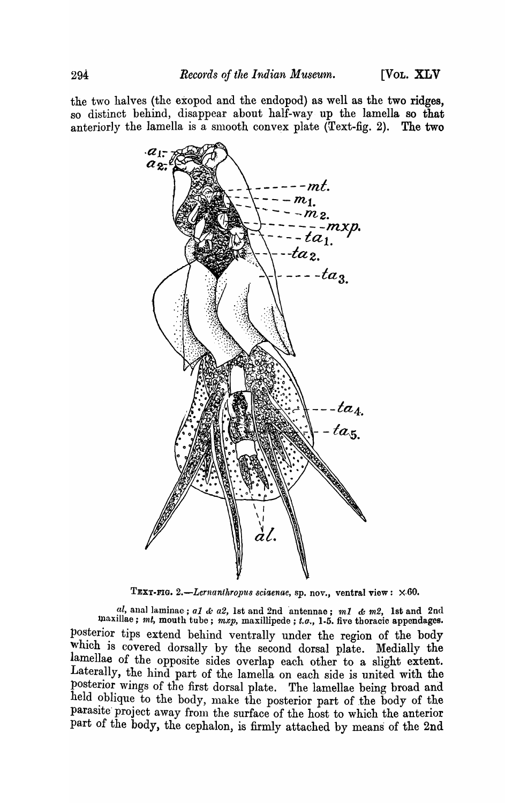the two halves (the exopod and the endopod) as well as the two ridges, so distinct behind, disappear about half-way up the lamella so that anteriorly the lamella is a smooth convex plate (Text-fig. 2). The two



TEXT-FIG. 2.-Lernanthropus sciaenae, sp. nov., ventral view:  $\times 60$ .

 $a$ , anal laminae;  $a1 \& a2$ , 1st and 2nd  $\alpha$  antennae;  $m1 \& m2$ , 1st and 2nd maxillae; mt, mouth tube; mxp, maxillipede; t.a., 1-5. five thoracic appendages. posterior tips extend behind ventrally under the region of the body which is covered dorsally by the second dorsal plate. Medially the lamellae of the opposite sides overlap each other to a slight extent. Laterally, the hind part of the lamella on each side is united with the posterior wings of the first dorsal plate. The lamellae being broad and held oblique to the body, make the posterior part of the body of the parasite project away from the surface of the host to which the anterior part of the body, the cephalon, is firmly attached by means of the 2nd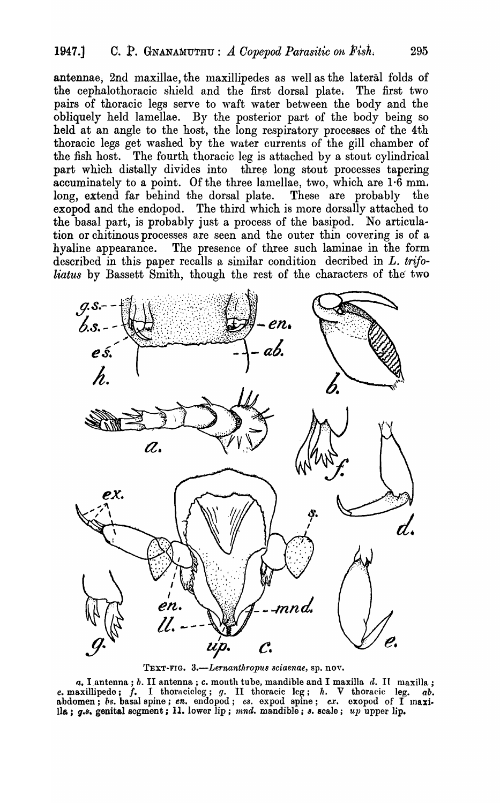antennae; 2nd maxillae, the maxillipedes as well as the lateral folds of the cephalothoracic shield and the first dorsal plate. The first two pairs of thoracic legs serve to waft water between the body and the  $o$ bliquely held lamellae. By the posterior part of the body being so held at an angle to the host, the long respiratory processes of the 4th thoracic legs get washed by the water currents of the gill chamber of the fish host. The fourth thoracic leg is attached by a stout cylindrical part which distally divides into three long stout processes tapering accuminately to a point. Of the three lamellae, two, which are  $1·6$  mm. long, extend far behind the dorsal plate. These are probably the exopod and the endopod. The third which is more dorsally attached to the basal part, is probably just a process of the basipod. No articulation or chitinous processes are seen and the outer thin covering is of a hyaline appearance. The presence of three such laminae in the form described in this paper recalls a similar condition decribed in L. trifo*liatus* by Bassett Smith, though the rest of the characters of the two



TEXT-FIG. 3.-Lernanthropus sciaenae, sp. nov.

a. I antenna; b. II antenna; c. mouth tube, mandible and I maxilla d. II maxilla;  $e.$  maxillipede;  $f.$  I thoracicleg;  $g.$  II thoracic leg;  $h.$  V thoracic leg.  $ab.$ abdomen; *bs.* basal spine; *en.* endopod; *e8.* ex pod spine; *ex.* exopod of I maxilla; g.s. genital segment; 11. lower lip;  $mnd.$  mandible; s. scale; up upper lip.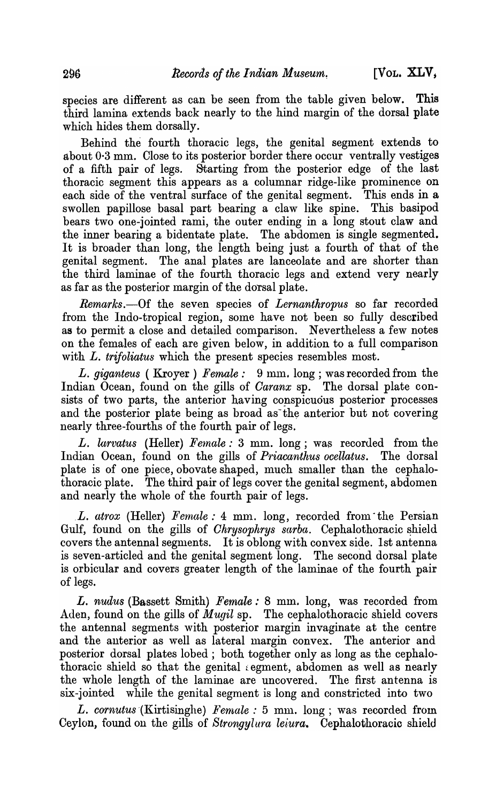species are different as can be seen from the table given below. This third lamina extends back nearly to the hind margin of the dorsal plate which hides them dorsally.

Behind the fourth thoracic legs, the genital segment extends to about 0·3 mm. Close to its posterior border there occur ventrally vestiges of a fifth pair of legs. Starting from the posterior edge of the last thoracic segment this appears as a columnar ridge-like prominence on each side of the ventral surface of the genital segment. This ends in a swollen papillose basal part bearing a claw like spine. This basipod bears two one-jointed rami, the outer ending in a long stout claw and the inner bearing a bidentate plate. The abdomen is single segmented. It is broader than long, the length being just a fourth of that of the genital segment. The anal plates are lanceolate and are shorter than the third laminae of the fourth thoracic legs and extend very nearly as far as the posterior margin of the dorsal plate.

*Remarks* .-Of the seven species of *Lernanthropus* so far recorded from the Indo-tropical region, some have not been so fully described as to permit a close and detailed comparison. Nevertheless a few notes on the females of each are given below, in addition to a full comparison with *L. trifoliatus* which the present species resembles most.

*L. giganteus* ( Kroyer ) *Female:* 9 mIn. long; was recorded from the Indian Ocean, found on the gills of *Oaranx* sp. The dorsal plate consists of two parts, the anterior having conspicuous posterior processes and the posterior plate being as broad as the anterior but not covering nearly three-fourths of the fourth pair of legs.

L. larvatus (Heller) *Female*: 3 mm. long; was recorded from the Indian Ocean, found on the gills of *Priacanthus ocellatus*. The dorsal plate is of one piece, obovate shaped, much smaller than the cephalothoracic plate. The third pair of legs cover the genital segment, abdomen and nearly the whole of the fourth pair of legs.

*L. atrox* (Heller) *Female*: 4 mm. long, recorded from the Persian Gulf, found on the gills of *Chrysophrys sarba*. Cephalothoracic shield  $\alpha$  covers the antennal segments. It is oblong with convex side. 1st antenna is seven-articled and the genital segment long. The second dorsal plate is orbicular and covers greater length of the laminae of the fourth pair of legs.

*L. nudus* (Bassett Smith) *Female:* 8 mm. long, was recorded from Aden, found on the gills of *Mugil* sp. The cephalothoracic shield covers the antennal segments with posterior margin invaginate at the centre and the anterior as well as lateral margin convex. The anterior and posterior dorsal plates lobed; both together only as long as the cephalothoracic shield so that the genital tegment, abdomen as well as nearly the whole length of the laminae are uncovered. The first antenna is six-jointed while the genital segment is long and constricted into two

L. cornutus (Kirtisinghe) *Female* : 5 mm. long; was recorded from Ceylon, found on the gills of *Strongylura leiura.* Cephalothoracic shield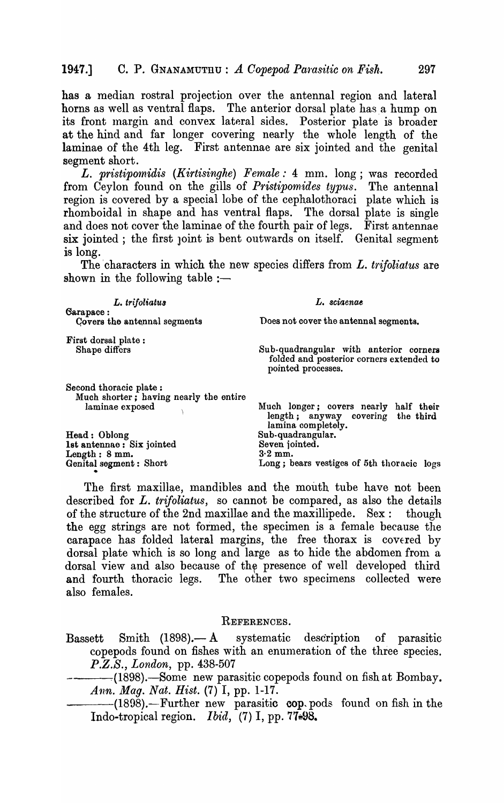has a median rostral projection over the antennal region and lateral horns as well as ventral flaps. The anterior dorsal plate has a hump on its front margin and convex lateral sides. Posterior plate is broader at the hind and far longer covering nearly the whole length of the laminae of the 4th leg. First antennae are six jointed and the genital segment short.

*L. pristipomidis (Kirtisinghe) Female:* 4 mm. long; was recorded from Ceylon found on the gills of *Pristipomides typus*. The antennal region is covered by a special lobe of the cephalothoraci plate which is rhomboidal in shape and has ventral flaps. The dorsal plate is single and does not cover the laminae of the fourth pair of legs. First antennae six jointed; the first joint is bent outwards on itself. Genital segment is long.

The' characters in which the new species differs from L. *trifoliatus* are shown in the following table  $:$ 

| L. trifoliatus                                                                      | L. sciaenae                                                                                              |
|-------------------------------------------------------------------------------------|----------------------------------------------------------------------------------------------------------|
| Carapace:                                                                           |                                                                                                          |
| Covers the antennal segments                                                        | Does not cover the antennal segments.                                                                    |
| First dorsal plate:<br>Shape differs                                                | Sub-quadrangular with anterior corners<br>folded and posterior corners extended to<br>pointed processes. |
| Second thoracic plate:<br>Much shorter; having nearly the entire<br>laminae exposed | Much longer; covers nearly half their<br>length; anyway covering the third<br>lamina completely.         |
| Head: Oblong                                                                        | Sub-quadrangular.                                                                                        |
| 1st antennae : Six jointed                                                          | Seven jointed.                                                                                           |
| Length: 8 mm.<br>Genital segment: Short                                             | $3.2$ mm.<br>Long; bears vestiges of 5th thoracic logs                                                   |

The first maxillae, mandibles and the mouth tube have not been described for *L. trifoliatus*, so cannot be compared, as also the details of the structure of the 2nd maxillae and the maxillipede. Sex: though the egg strings are not formed, the specimen is a female because the carapace has folded lateral margins, the free thorax is covered by dorsal plate which is so long and large as to hide the abdomen from a dorsal view and also because of the presence of well developed third and fourth thoracic legs. The other two specimens collected were also females.

## REFERENCES.

- Bassett Smith  $(1898)$ . A systematic description of parasitic copepods found on fishes with an enumeration of the three species. *P.Z.S., London,* pp. 438-507
- --~-(1898).-Some new parasitic copepods found on fish at Bombay. *Ann. Mag. Nat. Hist.* (7) I, pp. 1-17.
	- $-(1898)$ . Further new parasitic cop, pods found on fish in the Indo-tropical region. *Ibid*, (7) I, pp. 77=98.